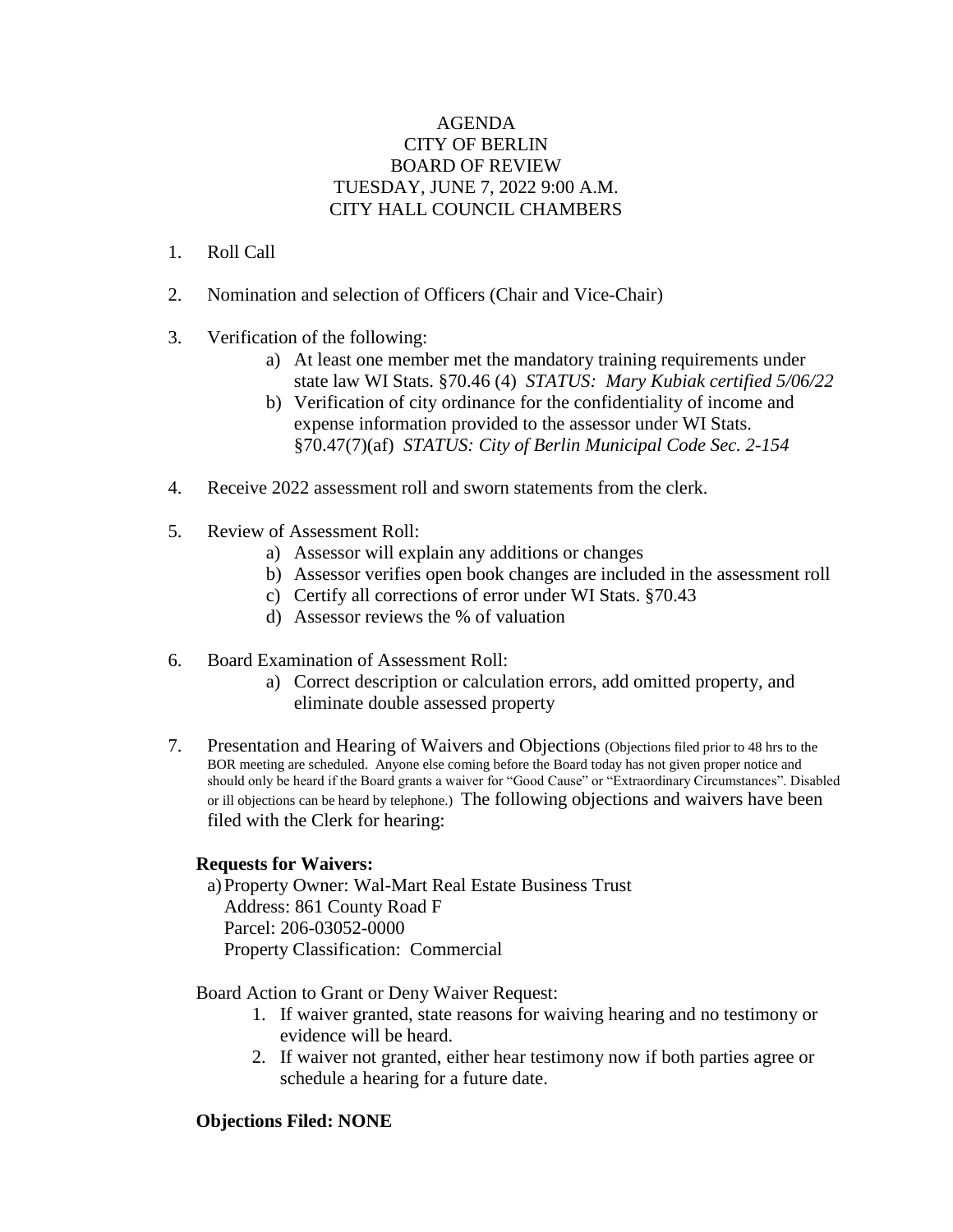## AGENDA CITY OF BERLIN BOARD OF REVIEW TUESDAY, JUNE 7, 2022 9:00 A.M. CITY HALL COUNCIL CHAMBERS

- 1. Roll Call
- 2. Nomination and selection of Officers (Chair and Vice-Chair)
- 3. Verification of the following:
	- a) At least one member met the mandatory training requirements under state law WI Stats. §70.46 (4) *STATUS: Mary Kubiak certified 5/06/22*
	- b) Verification of city ordinance for the confidentiality of income and expense information provided to the assessor under WI Stats. §70.47(7)(af) *STATUS: City of Berlin Municipal Code Sec. 2-154*
- 4. Receive 2022 assessment roll and sworn statements from the clerk.
- 5. Review of Assessment Roll:
	- a) Assessor will explain any additions or changes
	- b) Assessor verifies open book changes are included in the assessment roll
	- c) Certify all corrections of error under WI Stats. §70.43
	- d) Assessor reviews the % of valuation
- 6. Board Examination of Assessment Roll:
	- a) Correct description or calculation errors, add omitted property, and eliminate double assessed property
- 7. Presentation and Hearing of Waivers and Objections (Objections filed prior to 48 hrs to the BOR meeting are scheduled. Anyone else coming before the Board today has not given proper notice and should only be heard if the Board grants a waiver for "Good Cause" or "Extraordinary Circumstances". Disabled or ill objections can be heard by telephone.) The following objections and waivers have been filed with the Clerk for hearing:

## **Requests for Waivers:**

a)Property Owner: Wal-Mart Real Estate Business Trust Address: 861 County Road F Parcel: 206-03052-0000 Property Classification: Commercial

Board Action to Grant or Deny Waiver Request:

- 1. If waiver granted, state reasons for waiving hearing and no testimony or evidence will be heard.
- 2. If waiver not granted, either hear testimony now if both parties agree or schedule a hearing for a future date.

## **Objections Filed: NONE**